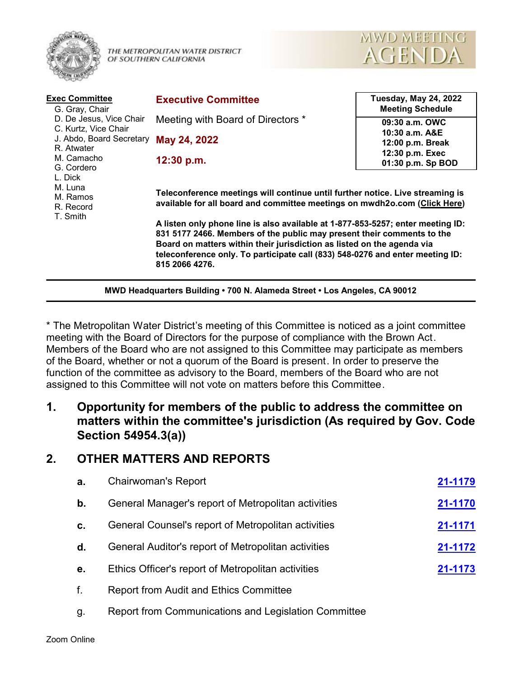

THE METROPOLITAN WATER DISTRICT OF SOUTHERN CALIFORNIA



| <b>Exec Committee</b><br>G. Gray, Chair<br>D. De Jesus, Vice Chair<br>C. Kurtz, Vice Chair<br>J. Abdo, Board Secretary<br>R. Atwater<br>M. Camacho<br>G. Cordero<br>L. Dick<br>M. Luna<br>M. Ramos<br>R. Record<br>T. Smith | <b>Executive Committee</b>                                                                                                                                                                                                                                                                                                                                                                                                                                                                           | <b>Tuesday, May 24, 2022</b><br><b>Meeting Schedule</b> |
|-----------------------------------------------------------------------------------------------------------------------------------------------------------------------------------------------------------------------------|------------------------------------------------------------------------------------------------------------------------------------------------------------------------------------------------------------------------------------------------------------------------------------------------------------------------------------------------------------------------------------------------------------------------------------------------------------------------------------------------------|---------------------------------------------------------|
|                                                                                                                                                                                                                             | Meeting with Board of Directors *                                                                                                                                                                                                                                                                                                                                                                                                                                                                    | 09:30 a.m. OWC<br>10:30 a.m. A&E                        |
|                                                                                                                                                                                                                             | May 24, 2022                                                                                                                                                                                                                                                                                                                                                                                                                                                                                         | 12:00 p.m. Break                                        |
|                                                                                                                                                                                                                             | 12:30 p.m.                                                                                                                                                                                                                                                                                                                                                                                                                                                                                           | 12:30 p.m. Exec<br>01:30 p.m. Sp BOD                    |
|                                                                                                                                                                                                                             | Teleconference meetings will continue until further notice. Live streaming is<br>available for all board and committee meetings on mwdh2o.com (Click Here)<br>A listen only phone line is also available at 1-877-853-5257; enter meeting ID:<br>831 5177 2466. Members of the public may present their comments to the<br>Board on matters within their jurisdiction as listed on the agenda via<br>teleconference only. To participate call (833) 548-0276 and enter meeting ID:<br>815 2066 4276. |                                                         |

\* The Metropolitan Water District's meeting of this Committee is noticed as a joint committee meeting with the Board of Directors for the purpose of compliance with the Brown Act. Members of the Board who are not assigned to this Committee may participate as members of the Board, whether or not a quorum of the Board is present. In order to preserve the function of the committee as advisory to the Board, members of the Board who are not assigned to this Committee will not vote on matters before this Committee.

**MWD Headquarters Building • 700 N. Alameda Street • Los Angeles, CA 90012**

# **1. Opportunity for members of the public to address the committee on matters within the committee's jurisdiction (As required by Gov. Code Section 54954.3(a))**

## **2. OTHER MATTERS AND REPORTS**

| a. | <b>Chairwoman's Report</b>                          | 21-1179 |
|----|-----------------------------------------------------|---------|
| b. | General Manager's report of Metropolitan activities | 21-1170 |
| c. | General Counsel's report of Metropolitan activities | 21-1171 |
| d. | General Auditor's report of Metropolitan activities | 21-1172 |
| е. | Ethics Officer's report of Metropolitan activities  | 21-1173 |
| f. | <b>Report from Audit and Ethics Committee</b>       |         |
|    |                                                     |         |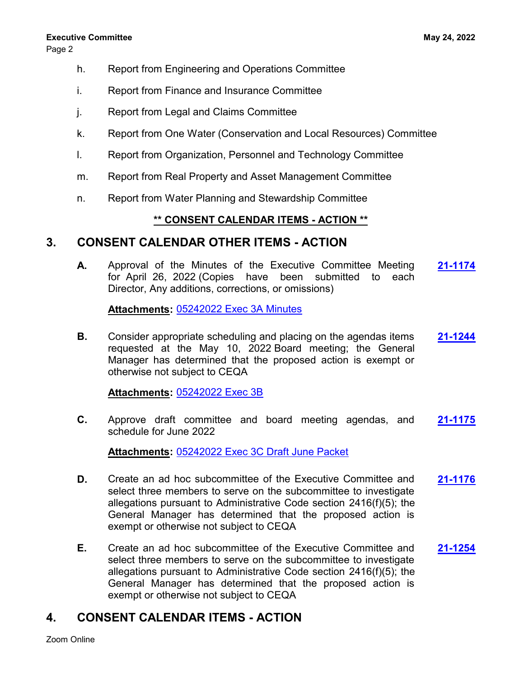Page 2

- h. Report from Engineering and Operations Committee
- i. Report from Finance and Insurance Committee
- j. Report from Legal and Claims Committee
- k. Report from One Water (Conservation and Local Resources) Committee
- l. Report from Organization, Personnel and Technology Committee
- m. Report from Real Property and Asset Management Committee
- n. Report from Water Planning and Stewardship Committee

#### **\*\* CONSENT CALENDAR ITEMS - ACTION \*\***

## **3. CONSENT CALENDAR OTHER ITEMS - ACTION**

**A.** Approval of the Minutes of the Executive Committee Meeting **[21-1174](http://mwdh2o.legistar.com/gateway.aspx?m=l&id=/matter.aspx?key=2266)** for April 26, 2022 (Copies have been submitted to each Director, Any additions, corrections, or omissions)

**Attachments:** [05242022 Exec 3A Minutes](http://mwdh2o.legistar.com/gateway.aspx?M=F&ID=66224b2a-89d1-47df-9b29-fc2990296289.pdf)

**B.** Consider appropriate scheduling and placing on the agendas items **[21-1244](http://mwdh2o.legistar.com/gateway.aspx?m=l&id=/matter.aspx?key=2336)** requested at the May 10, 2022 Board meeting; the General Manager has determined that the proposed action is exempt or otherwise not subject to CEQA

#### **Attachments:** [05242022 Exec 3B](http://mwdh2o.legistar.com/gateway.aspx?M=F&ID=66839bbf-311f-4be4-bd0b-5b0a27e2bdfc.pdf)

**C.** Approve draft committee and board meeting agendas, and **[21-1175](http://mwdh2o.legistar.com/gateway.aspx?m=l&id=/matter.aspx?key=2267)** schedule for June 2022

**Attachments:** [05242022 Exec 3C Draft June Packet](http://mwdh2o.legistar.com/gateway.aspx?M=F&ID=54a9f323-db1e-499a-ad29-b982a6b129a6.pdf)

- **D.** Create an ad hoc subcommittee of the Executive Committee and **[21-1176](http://mwdh2o.legistar.com/gateway.aspx?m=l&id=/matter.aspx?key=2268)** select three members to serve on the subcommittee to investigate allegations pursuant to Administrative Code section 2416(f)(5); the General Manager has determined that the proposed action is exempt or otherwise not subject to CEQA
- **E.** Create an ad hoc subcommittee of the Executive Committee and **[21-1254](http://mwdh2o.legistar.com/gateway.aspx?m=l&id=/matter.aspx?key=2346)** select three members to serve on the subcommittee to investigate allegations pursuant to Administrative Code section 2416(f)(5); the General Manager has determined that the proposed action is exempt or otherwise not subject to CEQA

# **4. CONSENT CALENDAR ITEMS - ACTION**